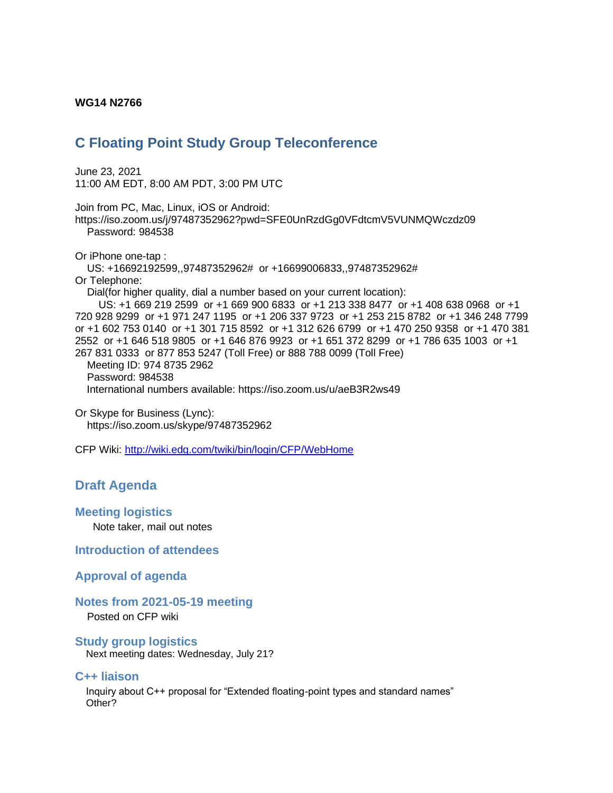#### **WG14 N2766**

# **C Floating Point Study Group Teleconference**

June 23, 2021 11:00 AM EDT, 8:00 AM PDT, 3:00 PM UTC

Join from PC, Mac, Linux, iOS or Android: https://iso.zoom.us/j/97487352962?pwd=SFE0UnRzdGg0VFdtcmV5VUNMQWczdz09 Password: 984538 Or iPhone one-tap : US: +16692192599,,97487352962# or +16699006833,,97487352962# Or Telephone: Dial(for higher quality, dial a number based on your current location): US: +1 669 219 2599 or +1 669 900 6833 or +1 213 338 8477 or +1 408 638 0968 or +1 720 928 9299 or +1 971 247 1195 or +1 206 337 9723 or +1 253 215 8782 or +1 346 248 7799 or +1 602 753 0140 or +1 301 715 8592 or +1 312 626 6799 or +1 470 250 9358 or +1 470 381 2552 or +1 646 518 9805 or +1 646 876 9923 or +1 651 372 8299 or +1 786 635 1003 or +1 267 831 0333 or 877 853 5247 (Toll Free) or 888 788 0099 (Toll Free)

 Meeting ID: 974 8735 2962 Password: 984538 International numbers available: https://iso.zoom.us/u/aeB3R2ws49

Or Skype for Business (Lync): https://iso.zoom.us/skype/97487352962

CFP Wiki:<http://wiki.edg.com/twiki/bin/login/CFP/WebHome>

## **Draft Agenda**

#### **Meeting logistics**

Note taker, mail out notes

**Introduction of attendees**

#### **Approval of agenda**

### **Notes from 2021-05-19 meeting**

Posted on CFP wiki

#### **Study group logistics**

Next meeting dates: Wednesday, July 21?

#### **C++ liaison**

 Inquiry about C++ proposal for "Extended floating-point types and standard names" Other?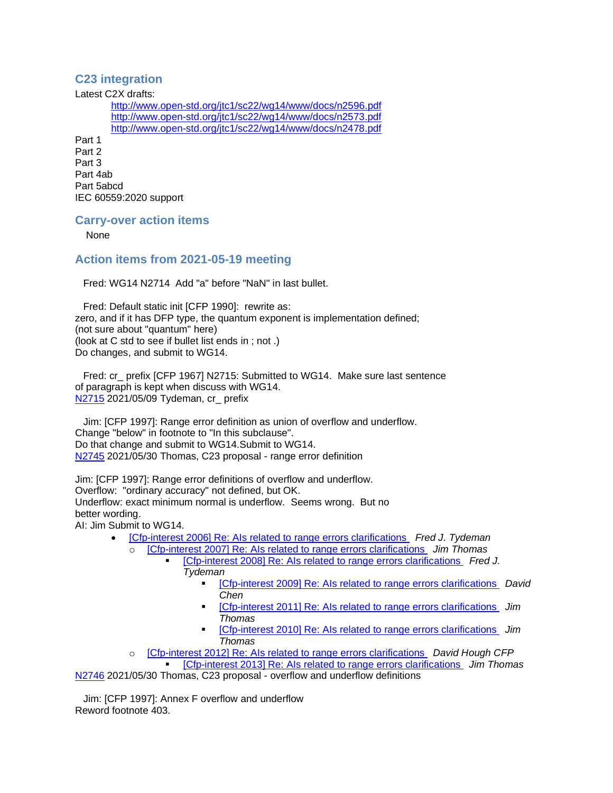## **C23 integration**

Latest C2X drafts:

<http://www.open-std.org/jtc1/sc22/wg14/www/docs/n2596.pdf> <http://www.open-std.org/jtc1/sc22/wg14/www/docs/n2573.pdf> <http://www.open-std.org/jtc1/sc22/wg14/www/docs/n2478.pdf>

Part 1 Part 2 Part 3 Part 4ab Part 5abcd IEC 60559:2020 support

## **Carry-over action items**

None

## **Action items from 2021-05-19 meeting**

Fred: WG14 N2714 Add "a" before "NaN" in last bullet.

 Fred: Default static init [CFP 1990]: rewrite as: zero, and if it has DFP type, the quantum exponent is implementation defined; (not sure about "quantum" here) (look at C std to see if bullet list ends in ; not .) Do changes, and submit to WG14.

 Fred: cr\_ prefix [CFP 1967] N2715: Submitted to WG14. Make sure last sentence of paragraph is kept when discuss with WG14. [N2715](http://www.open-std.org/jtc1/sc22/wg14/www/docs/n2715.htm) 2021/05/09 Tydeman, cr\_ prefix

 Jim: [CFP 1997]: Range error definition as union of overflow and underflow. Change "below" in footnote to "In this subclause". Do that change and submit to WG14.Submit to WG14. [N2745](http://www.open-std.org/jtc1/sc22/wg14/www/docs/n2745.pdf) 2021/05/30 Thomas, C23 proposal - range error definition

Jim: [CFP 1997]: Range error definitions of overflow and underflow. Overflow: "ordinary accuracy" not defined, but OK. Underflow: exact minimum normal is underflow. Seems wrong. But no better wording.

AI: Jim Submit to WG14.

- [\[Cfp-interest 2006\] Re: AIs related to range errors clarifications](https://mailman.oakapple.net/pipermail/cfp-interest/2021-May/002020.html) *Fred J. Tydeman*
	- o [\[Cfp-interest 2007\] Re: AIs related to range errors clarifications](https://mailman.oakapple.net/pipermail/cfp-interest/2021-May/002021.html) *Jim Thomas* ▪ [\[Cfp-interest 2008\] Re: AIs related to range errors clarifications](https://mailman.oakapple.net/pipermail/cfp-interest/2021-May/002022.html) *Fred J.* 
		- *Tydeman*
			- [\[Cfp-interest 2009\] Re: AIs related to range errors clarifications](https://mailman.oakapple.net/pipermail/cfp-interest/2021-May/002023.html) *David Chen*
			- [Cfp-interest 2011] Re: Als related to range errors clarifications Jim *Thomas*
			- [\[Cfp-interest 2010\] Re: AIs related to range errors clarifications](https://mailman.oakapple.net/pipermail/cfp-interest/2021-May/002024.html) *Jim Thomas*
	- o [\[Cfp-interest 2012\] Re: AIs related to range errors clarifications](https://mailman.oakapple.net/pipermail/cfp-interest/2021-May/002026.html) *David Hough CFP* ▪ [\[Cfp-interest 2013\] Re: AIs related to range errors clarifications](https://mailman.oakapple.net/pipermail/cfp-interest/2021-May/002027.html) *Jim Thomas*

[N2746](http://www.open-std.org/jtc1/sc22/wg14/www/docs/n2746.pdf) 2021/05/30 Thomas, C23 proposal - overflow and underflow definitions

 Jim: [CFP 1997]: Annex F overflow and underflow Reword footnote 403.